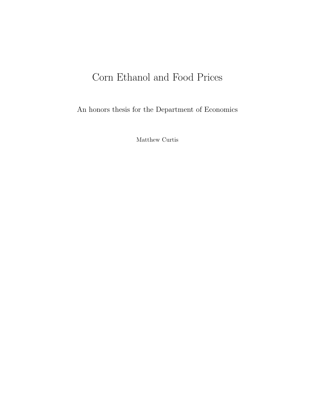## Corn Ethanol and Food Prices

An honors thesis for the Department of Economics

Matthew Curtis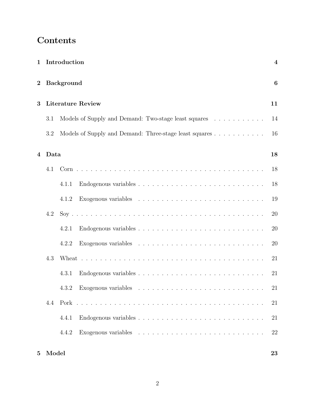### Contents

|                |       | 1 Introduction                                         | $\overline{4}$ |
|----------------|-------|--------------------------------------------------------|----------------|
| $\bf{2}$       |       | <b>Background</b>                                      | 6              |
| 3              |       | <b>Literature Review</b>                               | 11             |
|                | 3.1   | Models of Supply and Demand: Two-stage least squares   | 14             |
|                | 3.2   | Models of Supply and Demand: Three-stage least squares | 16             |
| $\overline{4}$ | Data  |                                                        | 18             |
|                | 4.1   |                                                        | 18             |
|                |       | 4.1.1                                                  | 18             |
|                |       | 4.1.2                                                  | 19             |
|                | 4.2   |                                                        | 20             |
|                |       | 4.2.1                                                  | 20             |
|                |       | 4.2.2                                                  | 20             |
|                | 4.3   |                                                        | 21             |
|                |       | 4.3.1                                                  | 21             |
|                |       | 4.3.2                                                  | 21             |
|                | 4.4   |                                                        | 21             |
|                |       | 4.4.1                                                  | 21             |
|                |       | 4.4.2                                                  | 22             |
| 5 <sup>5</sup> | Model |                                                        | 23             |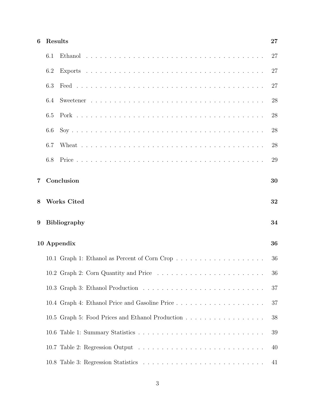| 27 |
|----|
|    |

|       | 6.1 |                                                  | 27 |
|-------|-----|--------------------------------------------------|----|
|       | 6.2 |                                                  | 27 |
|       | 6.3 |                                                  | 27 |
|       | 6.4 |                                                  | 28 |
|       | 6.5 |                                                  | 28 |
|       | 6.6 |                                                  | 28 |
|       | 6.7 |                                                  | 28 |
|       | 6.8 |                                                  | 29 |
| $7\,$ |     | Conclusion                                       | 30 |
| 8     |     | <b>Works Cited</b>                               | 32 |
| 9     |     | Bibliography                                     | 34 |
|       |     | 10 Appendix                                      | 36 |
|       |     | 10.1 Graph 1: Ethanol as Percent of Corn Crop    | 36 |
|       |     |                                                  | 36 |
|       |     |                                                  | 37 |
|       |     |                                                  | 37 |
|       |     | 10.5 Graph 5: Food Prices and Ethanol Production | 38 |
|       |     |                                                  | 39 |
|       |     |                                                  | 40 |
|       |     |                                                  | 41 |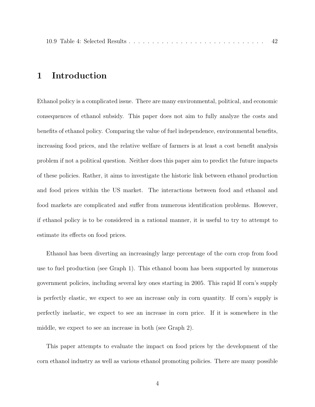|--|--|--|--|--|--|--|--|--|--|--|--|--|--|--|--|--|--|--|--|--|--|--|--|--|--|--|--|--|--|--|--|--|

### 1 Introduction

Ethanol policy is a complicated issue. There are many environmental, political, and economic consequences of ethanol subsidy. This paper does not aim to fully analyze the costs and benefits of ethanol policy. Comparing the value of fuel independence, environmental benefits, increasing food prices, and the relative welfare of farmers is at least a cost benefit analysis problem if not a political question. Neither does this paper aim to predict the future impacts of these policies. Rather, it aims to investigate the historic link between ethanol production and food prices within the US market. The interactions between food and ethanol and food markets are complicated and suffer from numerous identification problems. However, if ethanol policy is to be considered in a rational manner, it is useful to try to attempt to estimate its effects on food prices.

Ethanol has been diverting an increasingly large percentage of the corn crop from food use to fuel production (see Graph 1). This ethanol boom has been supported by numerous government policies, including several key ones starting in 2005. This rapid If corn's supply is perfectly elastic, we expect to see an increase only in corn quantity. If corn's supply is perfectly inelastic, we expect to see an increase in corn price. If it is somewhere in the middle, we expect to see an increase in both (see Graph 2).

This paper attempts to evaluate the impact on food prices by the development of the corn ethanol industry as well as various ethanol promoting policies. There are many possible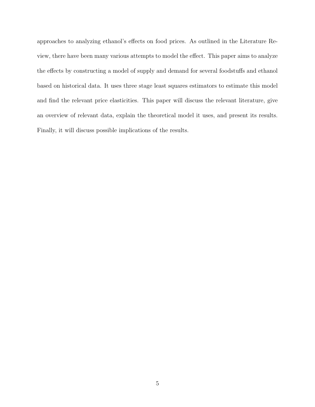approaches to analyzing ethanol's effects on food prices. As outlined in the Literature Review, there have been many various attempts to model the effect. This paper aims to analyze the effects by constructing a model of supply and demand for several foodstuffs and ethanol based on historical data. It uses three stage least squares estimators to estimate this model and find the relevant price elasticities. This paper will discuss the relevant literature, give an overview of relevant data, explain the theoretical model it uses, and present its results. Finally, it will discuss possible implications of the results.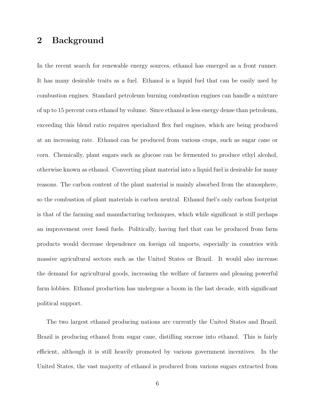### 2 Background

In the recent search for renewable energy sources, ethanol has emerged as a front runner. It has many desirable traits as a fuel. Ethanol is a liquid fuel that can be easily used by combustion engines. Standard petroleum burning combustion engines can handle a mixture of up to 15 percent corn ethanol by volume. Since ethanol is less energy dense than petroleum, exceeding this blend ratio requires specialized flex fuel engines, which are being produced at an increasing rate. Ethanol can be produced from various crops, such as sugar cane or corn. Chemically, plant sugars such as glucose can be fermented to produce ethyl alcohol, otherwise known as ethanol. Converting plant material into a liquid fuel is desirable for many reasons. The carbon content of the plant material is mainly absorbed from the atmosphere, so the combustion of plant materials is carbon neutral. Ethanol fuel's only carbon footprint is that of the farming and manufacturing techniques, which while significant is still perhaps an improvement over fossil fuels. Politically, having fuel that can be produced from farm products would decrease dependence on foreign oil imports, especially in countries with massive agricultural sectors such as the United States or Brazil. It would also increase the demand for agricultural goods, increasing the welfare of farmers and pleasing powerful farm lobbies. Ethanol production has undergone a boom in the last decade, with significant political support.

The two largest ethanol producing nations are currently the United States and Brazil. Brazil is producing ethanol from sugar cane, distilling sucrose into ethanol. This is fairly efficient, although it is still heavily promoted by various government incentives. In the United States, the vast majority of ethanol is produced from various sugars extracted from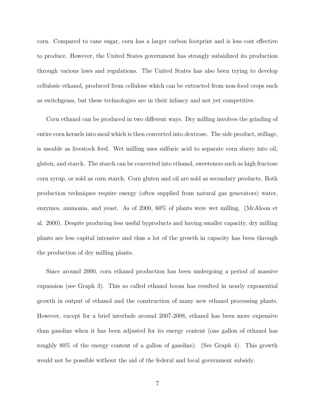corn. Compared to cane sugar, corn has a larger carbon footprint and is less cost effective to produce. However, the United States government has strongly subsidized its production through various laws and regulations. The United States has also been trying to develop cellulosic ethanol, produced from cellulose which can be extracted from non-food crops such as switchgrass, but these technologies are in their infancy and not yet competitive.

Corn ethanol can be produced in two different ways. Dry milling involves the grinding of entire corn kernels into meal which is then converted into dextrose. The side product, stillage, is useable as livestock feed. Wet milling uses sulfuric acid to separate corn slurry into oil, gluten, and starch. The starch can be converted into ethanol, sweeteners such as high fructose corn syrup, or sold as corn starch. Corn gluten and oil are sold as secondary products. Both production techniques require energy (often supplied from natural gas generators) water, enzymes, ammonia, and yeast. As of 2000, 60% of plants were wet milling. (McAloon et al. 2000). Despite producing less useful byproducts and having smaller capacity, dry milling plants are less capital intensive and thus a lot of the growth in capacity has been through the production of dry milling plants.

Since around 2000, corn ethanol production has been undergoing a period of massive expansion (see Graph 3). This so called ethanol boom has resulted in nearly exponential growth in output of ethanol and the construction of many new ethanol processing plants. However, except for a brief interlude around 2007-2008, ethanol has been more expensive than gasoline when it has been adjusted for its energy content (one gallon of ethanol has roughly 80% of the energy content of a gallon of gasoline). (See Graph 4). This growth would not be possible without the aid of the federal and local government subsidy.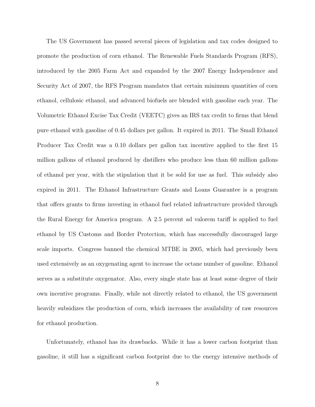The US Government has passed several pieces of legislation and tax codes designed to promote the production of corn ethanol. The Renewable Fuels Standards Program (RFS), introduced by the 2005 Farm Act and expanded by the 2007 Energy Independence and Security Act of 2007, the RFS Program mandates that certain minimum quantities of corn ethanol, cellulosic ethanol, and advanced biofuels are blended with gasoline each year. The Volumetric Ethanol Excise Tax Credit (VEETC) gives an IRS tax credit to firms that blend pure ethanol with gasoline of 0.45 dollars per gallon. It expired in 2011. The Small Ethanol Producer Tax Credit was a 0.10 dollars per gallon tax incentive applied to the first 15 million gallons of ethanol produced by distillers who produce less than 60 million gallons of ethanol per year, with the stipulation that it be sold for use as fuel. This subsidy also expired in 2011. The Ethanol Infrastructure Grants and Loans Guarantee is a program that offers grants to firms investing in ethanol fuel related infrastructure provided through the Rural Energy for America program. A  $2.5$  percent ad valorem tariff is applied to fuel ethanol by US Customs and Border Protection, which has successfully discouraged large scale imports. Congress banned the chemical MTBE in 2005, which had previously been used extensively as an oxygenating agent to increase the octane number of gasoline. Ethanol serves as a substitute oxygenator. Also, every single state has at least some degree of their own incentive programs. Finally, while not directly related to ethanol, the US government heavily subsidizes the production of corn, which increases the availability of raw resources for ethanol production.

Unfortunately, ethanol has its drawbacks. While it has a lower carbon footprint than gasoline, it still has a significant carbon footprint due to the energy intensive methods of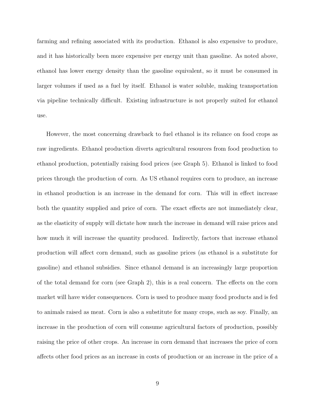farming and refining associated with its production. Ethanol is also expensive to produce, and it has historically been more expensive per energy unit than gasoline. As noted above, ethanol has lower energy density than the gasoline equivalent, so it must be consumed in larger volumes if used as a fuel by itself. Ethanol is water soluble, making transportation via pipeline technically difficult. Existing infrastructure is not properly suited for ethanol use.

However, the most concerning drawback to fuel ethanol is its reliance on food crops as raw ingredients. Ethanol production diverts agricultural resources from food production to ethanol production, potentially raising food prices (see Graph 5). Ethanol is linked to food prices through the production of corn. As US ethanol requires corn to produce, an increase in ethanol production is an increase in the demand for corn. This will in effect increase both the quantity supplied and price of corn. The exact effects are not immediately clear, as the elasticity of supply will dictate how much the increase in demand will raise prices and how much it will increase the quantity produced. Indirectly, factors that increase ethanol production will a↵ect corn demand, such as gasoline prices (as ethanol is a substitute for gasoline) and ethanol subsidies. Since ethanol demand is an increasingly large proportion of the total demand for corn (see Graph 2), this is a real concern. The effects on the corn market will have wider consequences. Corn is used to produce many food products and is fed to animals raised as meat. Corn is also a substitute for many crops, such as soy. Finally, an increase in the production of corn will consume agricultural factors of production, possibly raising the price of other crops. An increase in corn demand that increases the price of corn affects other food prices as an increase in costs of production or an increase in the price of a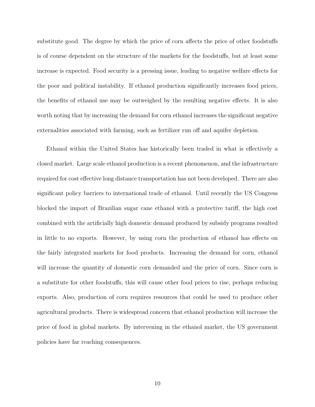substitute good. The degree by which the price of corn affects the price of other foodstuffs is of course dependent on the structure of the markets for the foodstuffs, but at least some increase is expected. Food security is a pressing issue, leading to negative welfare effects for the poor and political instability. If ethanol production significantly increases food prices, the benefits of ethanol use may be outweighed by the resulting negative effects. It is also worth noting that by increasing the demand for corn ethanol increases the significant negative externalities associated with farming, such as fertilizer run off and aquifer depletion.

Ethanol within the United States has historically been traded in what is effectively a closed market. Large scale ethanol production is a recent phenomenon, and the infrastructure required for cost effective long distance transportation has not been developed. There are also significant policy barriers to international trade of ethanol. Until recently the US Congress blocked the import of Brazilian sugar cane ethanol with a protective tariff, the high cost combined with the artificially high domestic demand produced by subsidy programs resulted in little to no exports. However, by using corn the production of ethanol has effects on the fairly integrated markets for food products. Increasing the demand for corn, ethanol will increase the quantity of domestic corn demanded and the price of corn. Since corn is a substitute for other foodstuffs, this will cause other food prices to rise, perhaps reducing exports. Also, production of corn requires resources that could be used to produce other agricultural products. There is widespread concern that ethanol production will increase the price of food in global markets. By intervening in the ethanol market, the US government policies have far reaching consequences.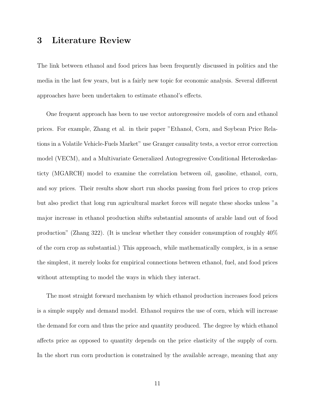### 3 Literature Review

The link between ethanol and food prices has been frequently discussed in politics and the media in the last few years, but is a fairly new topic for economic analysis. Several different approaches have been undertaken to estimate ethanol's effects.

One frequent approach has been to use vector autoregressive models of corn and ethanol prices. For example, Zhang et al. in their paper "Ethanol, Corn, and Soybean Price Relations in a Volatile Vehicle-Fuels Market" use Granger causality tests, a vector error correction model (VECM), and a Multivariate Generalized Autogregressive Conditional Heteroskedasticty (MGARCH) model to examine the correlation between oil, gasoline, ethanol, corn, and soy prices. Their results show short run shocks passing from fuel prices to crop prices but also predict that long run agricultural market forces will negate these shocks unless "a major increase in ethanol production shifts substantial amounts of arable land out of food production" (Zhang 322). (It is unclear whether they consider consumption of roughly 40% of the corn crop as substantial.) This approach, while mathematically complex, is in a sense the simplest, it merely looks for empirical connections between ethanol, fuel, and food prices without attempting to model the ways in which they interact.

The most straight forward mechanism by which ethanol production increases food prices is a simple supply and demand model. Ethanol requires the use of corn, which will increase the demand for corn and thus the price and quantity produced. The degree by which ethanol affects price as opposed to quantity depends on the price elasticity of the supply of corn. In the short run corn production is constrained by the available acreage, meaning that any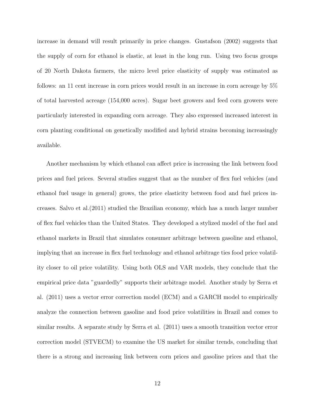increase in demand will result primarily in price changes. Gustafson (2002) suggests that the supply of corn for ethanol is elastic, at least in the long run. Using two focus groups of 20 North Dakota farmers, the micro level price elasticity of supply was estimated as follows: an 11 cent increase in corn prices would result in an increase in corn acreage by 5% of total harvested acreage (154,000 acres). Sugar beet growers and feed corn growers were particularly interested in expanding corn acreage. They also expressed increased interest in corn planting conditional on genetically modified and hybrid strains becoming increasingly available.

Another mechanism by which ethanol can affect price is increasing the link between food prices and fuel prices. Several studies suggest that as the number of flex fuel vehicles (and ethanol fuel usage in general) grows, the price elasticity between food and fuel prices increases. Salvo et al.(2011) studied the Brazilian economy, which has a much larger number of flex fuel vehicles than the United States. They developed a stylized model of the fuel and ethanol markets in Brazil that simulates consumer arbitrage between gasoline and ethanol, implying that an increase in flex fuel technology and ethanol arbitrage ties food price volatility closer to oil price volatility. Using both OLS and VAR models, they conclude that the empirical price data "guardedly" supports their arbitrage model. Another study by Serra et al. (2011) uses a vector error correction model (ECM) and a GARCH model to empirically analyze the connection between gasoline and food price volatilities in Brazil and comes to similar results. A separate study by Serra et al. (2011) uses a smooth transition vector error correction model (STVECM) to examine the US market for similar trends, concluding that there is a strong and increasing link between corn prices and gasoline prices and that the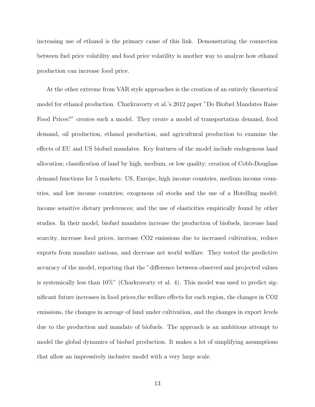increasing use of ethanol is the primary cause of this link. Demonstrating the connection between fuel price volatility and food price volatility is another way to analyze how ethanol production can increase food price.

At the other extreme from VAR style approaches is the creation of an entirely theoretical model for ethanol production. Charkravorty et al.'s 2012 paper "Do Biofuel Mandates Raise Food Prices?" creates such a model. They create a model of transportation demand, food demand, oil production, ethanol production, and agricultural production to examine the effects of EU and US biofuel mandates. Key features of the model include endogenous land allocation; classification of land by high, medium, or low quality; creation of Cobb-Douglass demand functions for 5 markets: US, Europe, high income countries, medium income countries, and low income countries; exogenous oil stocks and the use of a Hotelling model; income sensitive dietary preferences; and the use of elasticities empirically found by other studies. In their model, biofuel mandates increase the production of biofuels, increase land scarcity, increase food prices, increase CO2 emissions due to increased cultivation, reduce exports from mandate nations, and decrease net world welfare. They tested the predictive accuracy of the model, reporting that the "difference between observed and projected values is systemically less than  $10\%$ " (Charkravorty et al. 4). This model was used to predict significant future increases in food prices, the welfare effects for each region, the changes in CO2 emissions, the changes in acreage of land under cultivation, and the changes in export levels due to the production and mandate of biofuels. The approach is an ambitious attempt to model the global dynamics of biofuel production. It makes a lot of simplifying assumptions that allow an impressively inclusive model with a very large scale.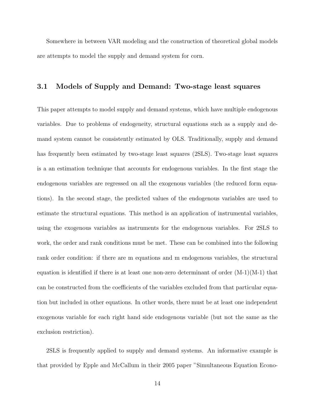Somewhere in between VAR modeling and the construction of theoretical global models are attempts to model the supply and demand system for corn.

### 3.1 Models of Supply and Demand: Two-stage least squares

This paper attempts to model supply and demand systems, which have multiple endogenous variables. Due to problems of endogeneity, structural equations such as a supply and demand system cannot be consistently estimated by OLS. Traditionally, supply and demand has frequently been estimated by two-stage least squares (2SLS). Two-stage least squares is a an estimation technique that accounts for endogenous variables. In the first stage the endogenous variables are regressed on all the exogenous variables (the reduced form equations). In the second stage, the predicted values of the endogenous variables are used to estimate the structural equations. This method is an application of instrumental variables, using the exogenous variables as instruments for the endogenous variables. For 2SLS to work, the order and rank conditions must be met. These can be combined into the following rank order condition: if there are m equations and m endogenous variables, the structural equation is identified if there is at least one non-zero determinant of order  $(M-1)(M-1)$  that can be constructed from the coefficients of the variables excluded from that particular equation but included in other equations. In other words, there must be at least one independent exogenous variable for each right hand side endogenous variable (but not the same as the exclusion restriction).

2SLS is frequently applied to supply and demand systems. An informative example is that provided by Epple and McCallum in their 2005 paper "Simultaneous Equation Econo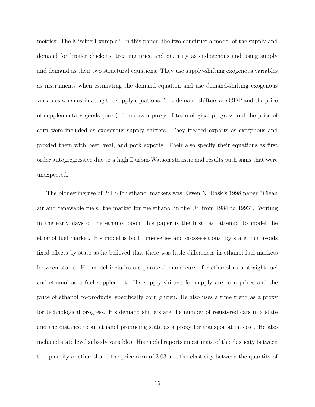metrics: The Missing Example." In this paper, the two construct a model of the supply and demand for broiler chickens, treating price and quantity as endogenous and using supply and demand as their two structural equations. They use supply-shifting exogenous variables as instruments when estimating the demand equation and use demand-shifting exogenous variables when estimating the supply equations. The demand shifters are GDP and the price of supplementary goods (beef). Time as a proxy of technological progress and the price of corn were included as exogenous supply shifters. They treated exports as exogenous and proxied them with beef, veal, and pork exports. Their also specify their equations as first order autogregressive due to a high Durbin-Watson statistic and results with signs that were unexpected.

The pioneering use of 2SLS for ethanol markets was Keven N. Rask's 1998 paper "Clean air and renewable fuels: the market for fuelethanol in the US from 1984 to 1993". Writing in the early days of the ethanol boom, his paper is the first real attempt to model the ethanol fuel market. His model is both time series and cross-sectional by state, but avoids fixed effects by state as he believed that there was little differences in ethanol fuel markets between states. His model includes a separate demand curve for ethanol as a straight fuel and ethanol as a fuel supplement. His supply shifters for supply are corn prices and the price of ethanol co-products, specifically corn gluten. He also uses a time trend as a proxy for technological progress. His demand shifters are the number of registered cars in a state and the distance to an ethanol producing state as a proxy for transportation cost. He also included state level subsidy variables. His model reports an estimate of the elasticity between the quantity of ethanol and the price corn of 3.03 and the elasticity between the quantity of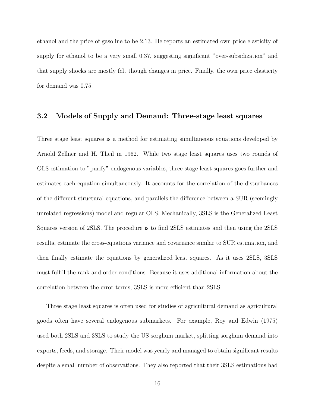ethanol and the price of gasoline to be 2.13. He reports an estimated own price elasticity of supply for ethanol to be a very small 0.37, suggesting significant "over-subsidization" and that supply shocks are mostly felt though changes in price. Finally, the own price elasticity for demand was 0.75.

#### 3.2 Models of Supply and Demand: Three-stage least squares

Three stage least squares is a method for estimating simultaneous equations developed by Arnold Zellner and H. Theil in 1962. While two stage least squares uses two rounds of OLS estimation to "purify" endogenous variables, three stage least squares goes further and estimates each equation simultaneously. It accounts for the correlation of the disturbances of the different structural equations, and parallels the difference between a SUR (seemingly unrelated regressions) model and regular OLS. Mechanically, 3SLS is the Generalized Least Squares version of 2SLS. The procedure is to find 2SLS estimates and then using the 2SLS results, estimate the cross-equations variance and covariance similar to SUR estimation, and then finally estimate the equations by generalized least squares. As it uses 2SLS, 3SLS must fulfill the rank and order conditions. Because it uses additional information about the correlation between the error terms,  $3SLS$  is more efficient than  $2SLS$ .

Three stage least squares is often used for studies of agricultural demand as agricultural goods often have several endogenous submarkets. For example, Roy and Edwin (1975) used both 2SLS and 3SLS to study the US sorghum market, splitting sorghum demand into exports, feeds, and storage. Their model was yearly and managed to obtain significant results despite a small number of observations. They also reported that their 3SLS estimations had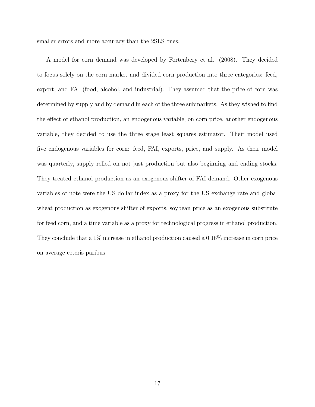smaller errors and more accuracy than the 2SLS ones.

A model for corn demand was developed by Fortenbery et al. (2008). They decided to focus solely on the corn market and divided corn production into three categories: feed, export, and FAI (food, alcohol, and industrial). They assumed that the price of corn was determined by supply and by demand in each of the three submarkets. As they wished to find the effect of ethanol production, an endogenous variable, on corn price, another endogenous variable, they decided to use the three stage least squares estimator. Their model used five endogenous variables for corn: feed, FAI, exports, price, and supply. As their model was quarterly, supply relied on not just production but also beginning and ending stocks. They treated ethanol production as an exogenous shifter of FAI demand. Other exogenous variables of note were the US dollar index as a proxy for the US exchange rate and global wheat production as exogenous shifter of exports, soybean price as an exogenous substitute for feed corn, and a time variable as a proxy for technological progress in ethanol production. They conclude that a 1% increase in ethanol production caused a 0.16% increase in corn price on average ceteris paribus.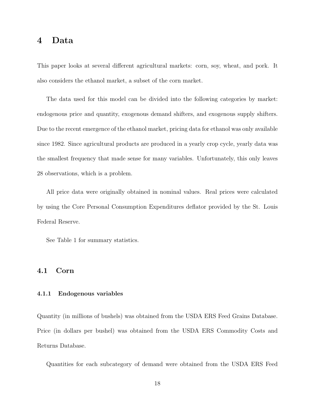### 4 Data

This paper looks at several different agricultural markets: corn, soy, wheat, and pork. It also considers the ethanol market, a subset of the corn market.

The data used for this model can be divided into the following categories by market: endogenous price and quantity, exogenous demand shifters, and exogenous supply shifters. Due to the recent emergence of the ethanol market, pricing data for ethanol was only available since 1982. Since agricultural products are produced in a yearly crop cycle, yearly data was the smallest frequency that made sense for many variables. Unfortunately, this only leaves 28 observations, which is a problem.

All price data were originally obtained in nominal values. Real prices were calculated by using the Core Personal Consumption Expenditures deflator provided by the St. Louis Federal Reserve.

See Table 1 for summary statistics.

#### 4.1 Corn

#### 4.1.1 Endogenous variables

Quantity (in millions of bushels) was obtained from the USDA ERS Feed Grains Database. Price (in dollars per bushel) was obtained from the USDA ERS Commodity Costs and Returns Database.

Quantities for each subcategory of demand were obtained from the USDA ERS Feed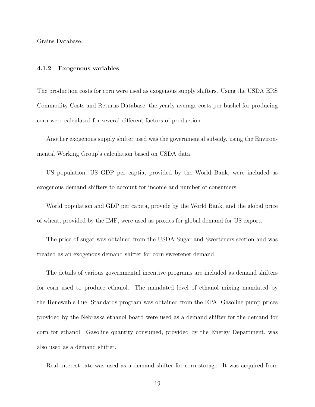Grains Database.

#### 4.1.2 Exogenous variables

The production costs for corn were used as exogenous supply shifters. Using the USDA ERS Commodity Costs and Returns Database, the yearly average costs per bushel for producing corn were calculated for several different factors of production.

Another exogenous supply shifter used was the governmental subsidy, using the Environmental Working Group's calculation based on USDA data.

US population, US GDP per captia, provided by the World Bank, were included as exogenous demand shifters to account for income and number of consumers.

World population and GDP per capita, provide by the World Bank, and the global price of wheat, provided by the IMF, were used as proxies for global demand for US export.

The price of sugar was obtained from the USDA Sugar and Sweeteners section and was treated as an exogenous demand shifter for corn sweetener demand.

The details of various governmental incentive programs are included as demand shifters for corn used to produce ethanol. The mandated level of ethanol mixing mandated by the Renewable Fuel Standards program was obtained from the EPA. Gasoline pump prices provided by the Nebraska ethanol board were used as a demand shifter for the demand for corn for ethanol. Gasoline quantity consumed, provided by the Energy Department, was also used as a demand shifter.

Real interest rate was used as a demand shifter for corn storage. It was acquired from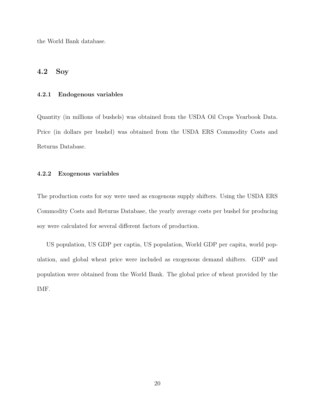the World Bank database.

### 4.2 Soy

#### 4.2.1 Endogenous variables

Quantity (in millions of bushels) was obtained from the USDA Oil Crops Yearbook Data. Price (in dollars per bushel) was obtained from the USDA ERS Commodity Costs and Returns Database.

#### 4.2.2 Exogenous variables

The production costs for soy were used as exogenous supply shifters. Using the USDA ERS Commodity Costs and Returns Database, the yearly average costs per bushel for producing soy were calculated for several different factors of production.

US population, US GDP per captia, US population, World GDP per capita, world population, and global wheat price were included as exogenous demand shifters. GDP and population were obtained from the World Bank. The global price of wheat provided by the IMF.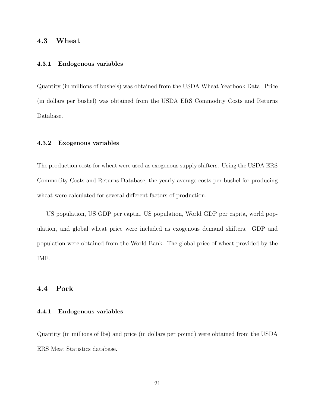### 4.3 Wheat

#### 4.3.1 Endogenous variables

Quantity (in millions of bushels) was obtained from the USDA Wheat Yearbook Data. Price (in dollars per bushel) was obtained from the USDA ERS Commodity Costs and Returns Database.

#### 4.3.2 Exogenous variables

The production costs for wheat were used as exogenous supply shifters. Using the USDA ERS Commodity Costs and Returns Database, the yearly average costs per bushel for producing wheat were calculated for several different factors of production.

US population, US GDP per captia, US population, World GDP per capita, world population, and global wheat price were included as exogenous demand shifters. GDP and population were obtained from the World Bank. The global price of wheat provided by the IMF.

#### 4.4 Pork

#### 4.4.1 Endogenous variables

Quantity (in millions of lbs) and price (in dollars per pound) were obtained from the USDA ERS Meat Statistics database.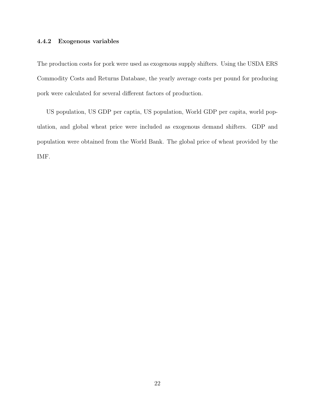#### 4.4.2 Exogenous variables

The production costs for pork were used as exogenous supply shifters. Using the USDA ERS Commodity Costs and Returns Database, the yearly average costs per pound for producing pork were calculated for several different factors of production.

US population, US GDP per captia, US population, World GDP per capita, world population, and global wheat price were included as exogenous demand shifters. GDP and population were obtained from the World Bank. The global price of wheat provided by the IMF.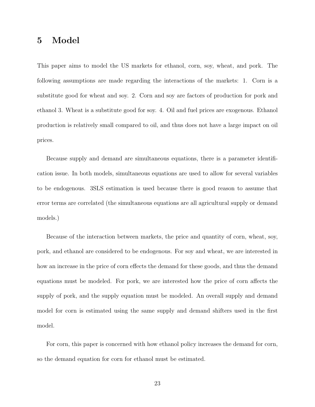### 5 Model

This paper aims to model the US markets for ethanol, corn, soy, wheat, and pork. The following assumptions are made regarding the interactions of the markets: 1. Corn is a substitute good for wheat and soy. 2. Corn and soy are factors of production for pork and ethanol 3. Wheat is a substitute good for soy. 4. Oil and fuel prices are exogenous. Ethanol production is relatively small compared to oil, and thus does not have a large impact on oil prices.

Because supply and demand are simultaneous equations, there is a parameter identification issue. In both models, simultaneous equations are used to allow for several variables to be endogenous. 3SLS estimation is used because there is good reason to assume that error terms are correlated (the simultaneous equations are all agricultural supply or demand models.)

Because of the interaction between markets, the price and quantity of corn, wheat, soy, pork, and ethanol are considered to be endogenous. For soy and wheat, we are interested in how an increase in the price of corn effects the demand for these goods, and thus the demand equations must be modeled. For pork, we are interested how the price of corn affects the supply of pork, and the supply equation must be modeled. An overall supply and demand model for corn is estimated using the same supply and demand shifters used in the first model.

For corn, this paper is concerned with how ethanol policy increases the demand for corn, so the demand equation for corn for ethanol must be estimated.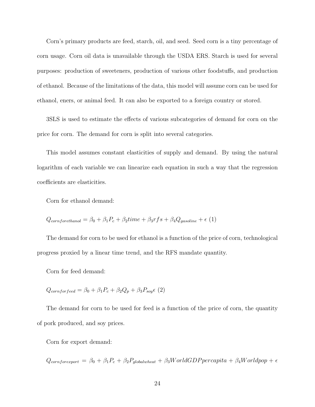Corn's primary products are feed, starch, oil, and seed. Seed corn is a tiny percentage of corn usage. Corn oil data is unavailable through the USDA ERS. Starch is used for several purposes: production of sweeteners, production of various other foodstuffs, and production of ethanol. Because of the limitations of the data, this model will assume corn can be used for ethanol, eners, or animal feed. It can also be exported to a foreign country or stored.

3SLS is used to estimate the effects of various subcategories of demand for corn on the price for corn. The demand for corn is split into several categories.

This model assumes constant elasticities of supply and demand. By using the natural logarithm of each variable we can linearize each equation in such a way that the regression coefficients are elasticities.

Corn for ethanol demand:

$$
Q_{cornforethanol} = \beta_0 + \beta_1 P_c + \beta_2 time + \beta_3 rfs + \beta_4 Q_{gasoline} + \epsilon
$$
 (1)

The demand for corn to be used for ethanol is a function of the price of corn, technological progress proxied by a linear time trend, and the RFS mandate quantity.

Corn for feed demand:

$$
Q_{conforfeed} = \beta_0 + \beta_1 P_c + \beta_2 Q_p + \beta_3 P_{soy} \epsilon (2)
$$

The demand for corn to be used for feed is a function of the price of corn, the quantity of pork produced, and soy prices.

Corn for export demand:

 $Q_{contrforexport} = \beta_0 + \beta_1 P_c + \beta_2 P_{globalwheel} + \beta_3 WorldGDP per capital + \beta_4 Worldpop + \epsilon$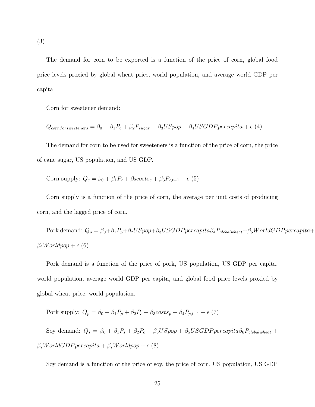The demand for corn to be exported is a function of the price of corn, global food price levels proxied by global wheat price, world population, and average world GDP per capita.

Corn for sweetener demand:

$$
Q_{cornforsweeteners} = \beta_0 + \beta_1 P_c + \beta_2 P_{sugar} + \beta_3 USpop + \beta_4 USGDP per capita + \epsilon
$$
 (4)

The demand for corn to be used for sweeteners is a function of the price of corn, the price of cane sugar, US population, and US GDP.

$$
Corn supply: Qc = \beta_0 + \beta_1 P_c + \beta_2 costs_c + \beta_3 P_{c,t-1} + \epsilon
$$
 (5)

Corn supply is a function of the price of corn, the average per unit costs of producing corn, and the lagged price of corn.

Pork demand:  $Q_p = \beta_0 + \beta_1 P_p + \beta_2 USpop + \beta_3 USGDP per capital \beta_4 P_{global wheat} + \beta_5 WorldGDP per capital +$  $\beta_6Worldpop + \epsilon$  (6)

Pork demand is a function of the price of pork, US population, US GDP per capita, world population, average world GDP per capita, and global food price levels proxied by global wheat price, world population.

Pork supply:  $Q_p = \beta_0 + \beta_1 P_p + \beta_2 P_c + \beta_3 cost s_p + \beta_4 P_{p,t-1} + \epsilon$  (7)

Soy demand:  $Q_s = \beta_0 + \beta_1 P_s + \beta_2 P_c + \beta_3 USpop + \beta_5 USGDP per capital \beta_6 P<sub>global wheel</sub> +$  $\beta_7 World GDP per capita + \beta_7 World pop + \epsilon$  (8)

Soy demand is a function of the price of soy, the price of corn, US population, US GDP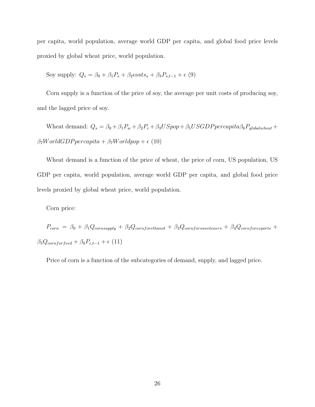per capita, world population, average world GDP per capita, and global food price levels proxied by global wheat price, world population.

Soy supply: 
$$
Q_s = \beta_0 + \beta_1 P_s + \beta_2 \cos t s_s + \beta_3 P_{s,t-1} + \epsilon
$$
 (9)

Corn supply is a function of the price of soy, the average per unit costs of producing soy, and the lagged price of soy.

Wheat demand:  $Q_s = \beta_0 + \beta_1 P_w + \beta_2 P_c + \beta_3 USpop + \beta_5 USGDP per capital \beta_6 P<sub>global wheel</sub> +$  $\beta_7 World GDP per capita + \beta_7 World pop + \epsilon$  (10)

Wheat demand is a function of the price of wheat, the price of corn, US population, US GDP per capita, world population, average world GDP per capita, and global food price levels proxied by global wheat price, world population.

Corn price:

 $P_{corn} = \beta_0 + \beta_1 Q_{corn supply} + \beta_2 Q_{cornfore thanol} + \beta_3 Q_{cornfore we then s + \beta_4 Q_{cornfore xports} + \beta_5 Q_{corr} + \beta_6 Q_{corr} + \beta_7 Q_{corr} + \beta_8 Q_{corr} + \beta_9 Q_{corr} + \beta_9 Q_{corr} + \beta_9 Q_{corr} + \beta_9 Q_{corr} + \beta_9 Q_{corr} + \beta_9 Q_{corr} + \beta_9 Q_{corr} + \beta_9 Q_{corr} + \beta_9 Q_{corr} + \beta_9 Q_{corr} + \beta_9 Q_{corr} + \beta_9 Q_{corr} + \beta_9 Q_{corr} + \beta_9 Q_{corr} + \beta$  $\beta_5 Q_{conforfeed} + \beta_6 P_{c,t-1} + \epsilon$  (11)

Price of corn is a function of the subcategories of demand, supply, and lagged price.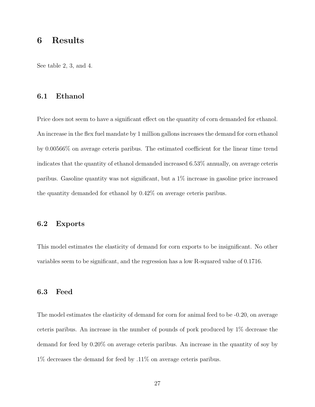### 6 Results

See table 2, 3, and 4.

### 6.1 Ethanol

Price does not seem to have a significant effect on the quantity of corn demanded for ethanol. An increase in the flex fuel mandate by 1 million gallons increases the demand for corn ethanol by 0.00566% on average ceteris paribus. The estimated coefficient for the linear time trend indicates that the quantity of ethanol demanded increased 6.53% annually, on average ceteris paribus. Gasoline quantity was not significant, but a 1% increase in gasoline price increased the quantity demanded for ethanol by 0.42% on average ceteris paribus.

#### 6.2 Exports

This model estimates the elasticity of demand for corn exports to be insignificant. No other variables seem to be significant, and the regression has a low R-squared value of 0.1716.

#### 6.3 Feed

The model estimates the elasticity of demand for corn for animal feed to be -0.20, on average ceteris paribus. An increase in the number of pounds of pork produced by 1% decrease the demand for feed by 0.20% on average ceteris paribus. An increase in the quantity of soy by 1% decreases the demand for feed by .11% on average ceteris paribus.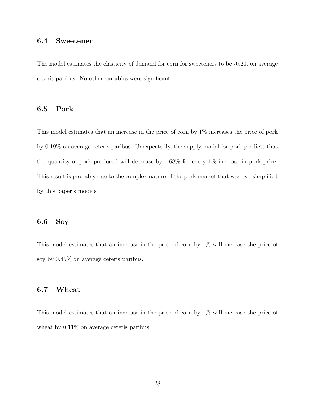### 6.4 Sweetener

The model estimates the elasticity of demand for corn for sweeteners to be -0.20, on average ceteris paribus. No other variables were significant.

#### 6.5 Pork

This model estimates that an increase in the price of corn by 1% increases the price of pork by 0.19% on average ceteris paribus. Unexpectedly, the supply model for pork predicts that the quantity of pork produced will decrease by 1.68% for every 1% increase in pork price. This result is probably due to the complex nature of the pork market that was oversimplified by this paper's models.

### 6.6 Soy

This model estimates that an increase in the price of corn by 1% will increase the price of soy by 0.45% on average ceteris paribus.

### 6.7 Wheat

This model estimates that an increase in the price of corn by 1% will increase the price of wheat by  $0.11\%$  on average ceteris paribus.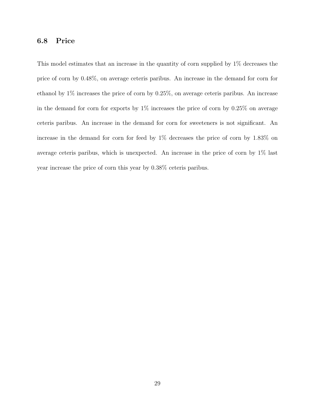### 6.8 Price

This model estimates that an increase in the quantity of corn supplied by 1% decreases the price of corn by 0.48%, on average ceteris paribus. An increase in the demand for corn for ethanol by 1% increases the price of corn by 0.25%, on average ceteris paribus. An increase in the demand for corn for exports by  $1\%$  increases the price of corn by  $0.25\%$  on average ceteris paribus. An increase in the demand for corn for sweeteners is not significant. An increase in the demand for corn for feed by 1% decreases the price of corn by 1.83% on average ceteris paribus, which is unexpected. An increase in the price of corn by 1% last year increase the price of corn this year by 0.38% ceteris paribus.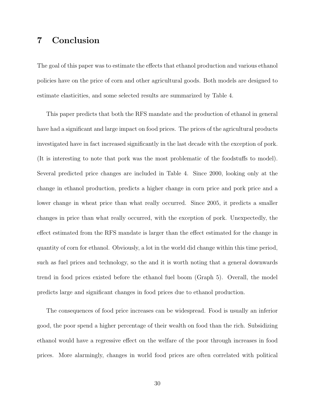### 7 Conclusion

The goal of this paper was to estimate the effects that ethanol production and various ethanol policies have on the price of corn and other agricultural goods. Both models are designed to estimate elasticities, and some selected results are summarized by Table 4.

This paper predicts that both the RFS mandate and the production of ethanol in general have had a significant and large impact on food prices. The prices of the agricultural products investigated have in fact increased significantly in the last decade with the exception of pork. (It is interesting to note that pork was the most problematic of the foodstuffs to model). Several predicted price changes are included in Table 4. Since 2000, looking only at the change in ethanol production, predicts a higher change in corn price and pork price and a lower change in wheat price than what really occurred. Since 2005, it predicts a smaller changes in price than what really occurred, with the exception of pork. Unexpectedly, the effect estimated from the RFS mandate is larger than the effect estimated for the change in quantity of corn for ethanol. Obviously, a lot in the world did change within this time period, such as fuel prices and technology, so the and it is worth noting that a general downwards trend in food prices existed before the ethanol fuel boom (Graph 5). Overall, the model predicts large and significant changes in food prices due to ethanol production.

The consequences of food price increases can be widespread. Food is usually an inferior good, the poor spend a higher percentage of their wealth on food than the rich. Subsidizing ethanol would have a regressive effect on the welfare of the poor through increases in food prices. More alarmingly, changes in world food prices are often correlated with political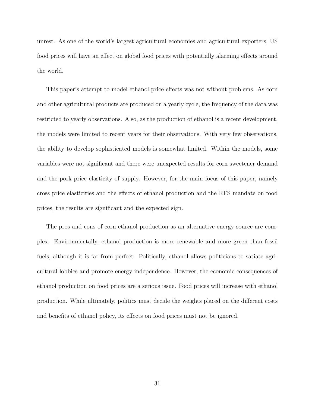unrest. As one of the world's largest agricultural economies and agricultural exporters, US food prices will have an effect on global food prices with potentially alarming effects around the world.

This paper's attempt to model ethanol price effects was not without problems. As corn and other agricultural products are produced on a yearly cycle, the frequency of the data was restricted to yearly observations. Also, as the production of ethanol is a recent development, the models were limited to recent years for their observations. With very few observations, the ability to develop sophisticated models is somewhat limited. Within the models, some variables were not significant and there were unexpected results for corn sweetener demand and the pork price elasticity of supply. However, for the main focus of this paper, namely cross price elasticities and the effects of ethanol production and the RFS mandate on food prices, the results are significant and the expected sign.

The pros and cons of corn ethanol production as an alternative energy source are complex. Environmentally, ethanol production is more renewable and more green than fossil fuels, although it is far from perfect. Politically, ethanol allows politicians to satiate agricultural lobbies and promote energy independence. However, the economic consequences of ethanol production on food prices are a serious issue. Food prices will increase with ethanol production. While ultimately, politics must decide the weights placed on the different costs and benefits of ethanol policy, its effects on food prices must not be ignored.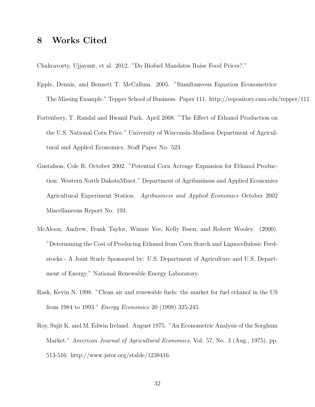### 8 Works Cited

Chakravorty, Ujjayant, et al. 2012. "Do Biofuel Mandates Raise Food Prices?."

- Epple, Dennis, and Bennett T. McCallum. 2005. "Simultaneous Equation Econometrics: The Missing Example." Tepper School of Business. Paper 111. http://repository.cmu.edu/tepper/111.
- Fortenbery, T. Randal and Hwanil Park. April 2008. "The Effect of Ethanol Production on the U.S. National Corn Price." University of Wisconsin-Madison Department of Agricultural and Applied Economics. Staff Paper No. 523.
- Gustafson, Cole R. October 2002. "Potential Corn Acreage Expansion for Ethanol Production: Western North DakotaMinot." Department of Agribusiness and Applied Economics Agricultural Experiment Station. *Agribusiness and Applied Economics* October 2002 Miscellaneous Report No. 193.
- McAloon, Andrew, Frank Taylor, Winnie Yee, Kelly Ibsen, and Robert Wooley. (2000). "Determining the Cost of Producing Ethanol from Corn Starch and Lignocellulosic Feedstocks - A Joint Study Sponsored by: U.S. Department of Agriculture and U.S. Department of Energy." National Renewable Energy Laboratory.
- Rask, Kevin N. 1998. "Clean air and renewable fuels: the market for fuel ethanol in the US from 1984 to 1993." *Energy Economics* 20 (1998) 325-245.
- Roy, Sujit K. and M. Edwin Ireland. August 1975. "An Econometric Analysis of the Sorghum Market." *American Journal of Agricultural Economics*, Vol. 57, No. 3 (Aug., 1975), pp. 513-516. http://www.jstor.org/stable/1238416.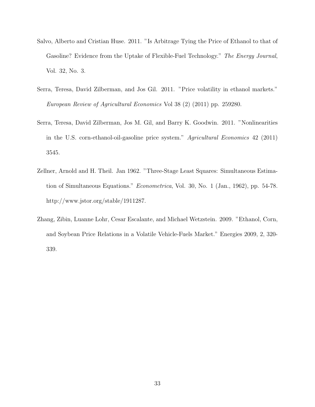- Salvo, Alberto and Cristian Huse. 2011. "Is Arbitrage Tying the Price of Ethanol to that of Gasoline? Evidence from the Uptake of Flexible-Fuel Technology." *The Energy Journal*, Vol. 32, No. 3.
- Serra, Teresa, David Zilberman, and Jos Gil. 2011. "Price volatility in ethanol markets." *European Review of Agricultural Economics* Vol 38 (2) (2011) pp. 259280.
- Serra, Teresa, David Zilberman, Jos M. Gil, and Barry K. Goodwin. 2011. "Nonlinearities in the U.S. corn-ethanol-oil-gasoline price system." *Agricultural Economics* 42 (2011) 3545.
- Zellner, Arnold and H. Theil. Jan 1962. "Three-Stage Least Squares: Simultaneous Estimation of Simultaneous Equations." *Econometrica*, Vol. 30, No. 1 (Jan., 1962), pp. 54-78. http://www.jstor.org/stable/1911287.
- Zhang, Zibin, Luanne Lohr, Cesar Escalante, and Michael Wetzstein. 2009. "Ethanol, Corn, and Soybean Price Relations in a Volatile Vehicle-Fuels Market." Energies 2009, 2, 320- 339.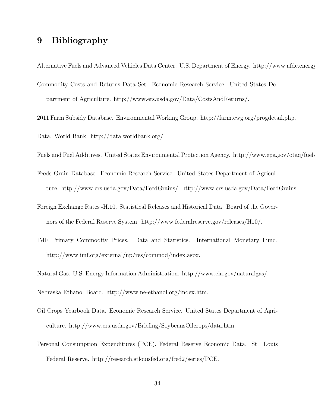### 9 Bibliography

Alternative Fuels and Advanced Vehicles Data Center. U.S. Department of Energy. http://www.afdc.energy.

- Commodity Costs and Returns Data Set. Economic Research Service. United States Department of Agriculture. http://www.ers.usda.gov/Data/CostsAndReturns/.
- 2011 Farm Subsidy Database. Environmental Working Group. http://farm.ewg.org/progdetail.php.

Data. World Bank. http://data.worldbank.org/

- Fuels and Fuel Additives. United States Environmental Protection Agency. http://www.epa.gov/otaq/fuels
- Feeds Grain Database. Economic Research Service. United States Department of Agriculture. http://www.ers.usda.gov/Data/FeedGrains/. http://www.ers.usda.gov/Data/FeedGrains.
- Foreign Exchange Rates -H.10. Statistical Releases and Historical Data. Board of the Governors of the Federal Reserve System. http://www.federalreserve.gov/releases/H10/.
- IMF Primary Commodity Prices. Data and Statistics. International Monetary Fund. http://www.imf.org/external/np/res/commod/index.aspx.

Natural Gas. U.S. Energy Information Administration. http://www.eia.gov/naturalgas/.

Nebraska Ethanol Board. http://www.ne-ethanol.org/index.htm.

- Oil Crops Yearbook Data. Economic Research Service. United States Department of Agriculture. http://www.ers.usda.gov/Briefing/SoybeansOilcrops/data.htm.
- Personal Consumption Expenditures (PCE). Federal Reserve Economic Data. St. Louis Federal Reserve. http://research.stlouisfed.org/fred2/series/PCE.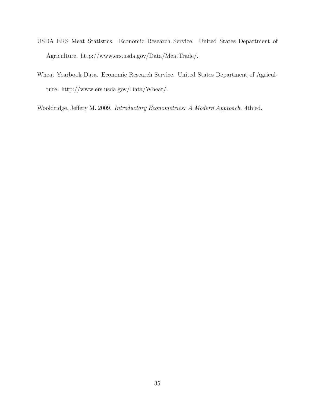- USDA ERS Meat Statistics. Economic Research Service. United States Department of Agriculture. http://www.ers.usda.gov/Data/MeatTrade/.
- Wheat Yearbook Data. Economic Research Service. United States Department of Agriculture. http://www.ers.usda.gov/Data/Wheat/.

Wooldridge, Jeffery M. 2009. *Introductory Econometrics: A Modern Approach*. 4th ed.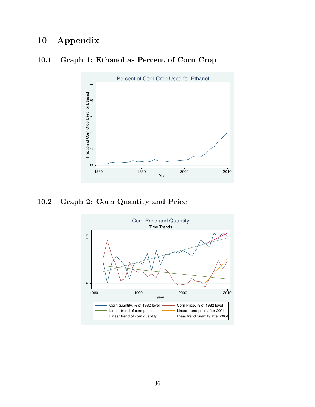### 10 Appendix

# Percent of Corn Crop Used for Ethanol .2 .4 .6 .8 1 Fraction of Corn Crop Used for Ethanol<br>2.4 6 6 Fraction of Corn Crop Used for Ethanol  $\circ$ 1980 1990 2000 2010 Year

### 10.1 Graph 1: Ethanol as Percent of Corn Crop

10.2 Graph 2: Corn Quantity and Price

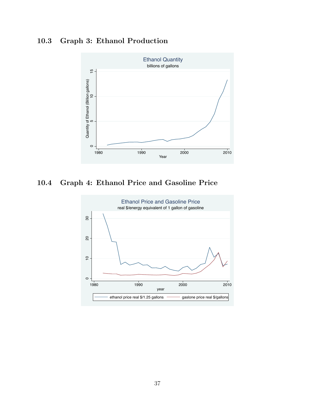### 10.3 Graph 3: Ethanol Production



10.4 Graph 4: Ethanol Price and Gasoline Price

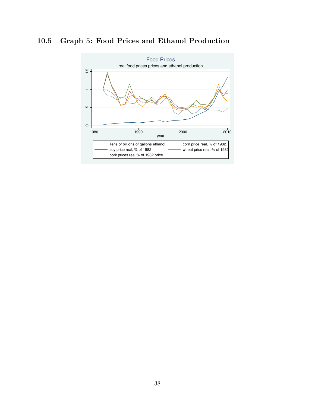### 10.5 Graph 5: Food Prices and Ethanol Production

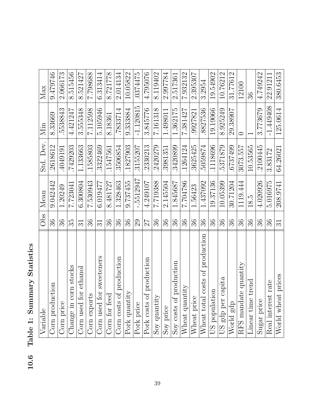| otatistic <sup>c</sup><br>.<br>م     |
|--------------------------------------|
| ۵<br>vaetuun<br><u>ווווווו.</u><br>ζ |
| $\mathbf i$                          |
| Table                                |
| 10.6                                 |

| Summary     |  |
|-------------|--|
| $\mathbf i$ |  |
| Table       |  |
|             |  |

| Variable                                     | Obs                 | Mean       | Std. Dev. | Min         | Max      |
|----------------------------------------------|---------------------|------------|-----------|-------------|----------|
| Corn production                              | 36                  | 9.042442   | 2618612   | 8.33669     | 9479746  |
| Corn price                                   | 36                  | 1.20249    | 4049191   | 5538843     | 2.066173 |
| corn stocks<br>$\overline{\text{Change}}$ in | 35                  | 7.723041   | .7429203  | 4.421247    | 8.515456 |
| Corn used for ethanol                        | $\overline{31}$     | 6.300804   | 1.133663  | 3.555348    | 8.521427 |
| Corn exports                                 | 36                  | 7.530943   | .1585803  | 7.112598    | 7.798688 |
| Corn used for sweeteners                     | $\overline{\Omega}$ | 6.019477   | 3322469   | 5.105946    | 6.313414 |
| Corn for feed                                | 36                  | 8.481727   | 1547561   | 8.18361     | 8.721778 |
| of production<br>Corn costs                  | 36                  | 1.328463   | 3506854   | .7833714    | 2.014134 |
| Pork quantity                                | 36                  | 9.737455   | 1827903   | 9.333884    | 10.05822 |
| Pork price                                   | 29                  | $-5512947$ | 3155207   | $-1.120815$ | .0374475 |
| of production<br>Pork costs                  | 27                  | 4.249107   | 2330213   | 3.845776    | 4.795076 |
| $\lesssim$<br>Soy quantit                    | 36                  | 7.719388   | 2420279   | 7.161318    | 8.119402 |
| Soy price                                    | 36                  | 2.145504   | 3981351   | 1.498011    | 2.997784 |
| Soy costs of production                      | 36                  | 1.845687   | 3420899   | 1.362175    | 2.517361 |
| Wheat quantity                               | 36                  | 7.704786   | .1264124  | 7.381427    | 7.932132 |
| $\overline{\text{W}}$ heat price             | 36                  | 1.56423    | 3625425   | 9927821     | 2.395307 |
| Wheat total costs of production              | 36                  | 1.437092   | 5059874   | 8827536     | 3.2954   |
| US population                                | 36                  | 19.37136   | 1118696   | 19.19066    | 19.54902 |
| capita<br>US gdp per                         | 36                  | 10.05399   | 5371879   | 8.925249    | 10.76212 |
| World gdp                                    | 36                  | 30.71204   | 6737499   | 29.38907    | 31.77612 |
| RFS mandate quantity                         | ೫                   | 1119.444   | 3073.557  |             | 12100    |
| Linear time trend                            | 36                  | 18.5       | 10.53565  |             | 36       |
| Sugar price                                  | 36                  | 4.020926   | 2100445   | 3.773679    | 4.749242 |
| Real interest rate                           | 36                  | 5.016975   | 3.83172   | $-1.449408$ | 22.91211 |
| World wheat prices                           | 31                  | 208.9741   | 64.26021  | 125.0614    | 380.6453 |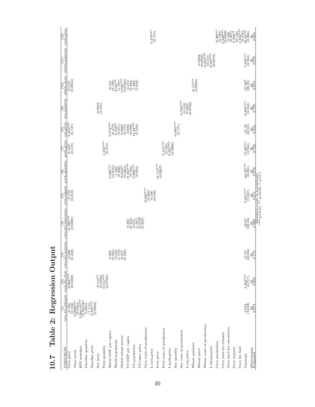|   | corn-price<br>(12)                                  | $0.378***$<br>(0.115)                                                                                                                                                                                                                                                                                                                                                                                                                                                                                                                                                                                       | $0.\overline{800}$                                                  |                                                                          |
|---|-----------------------------------------------------|-------------------------------------------------------------------------------------------------------------------------------------------------------------------------------------------------------------------------------------------------------------------------------------------------------------------------------------------------------------------------------------------------------------------------------------------------------------------------------------------------------------------------------------------------------------------------------------------------------------|---------------------------------------------------------------------|--------------------------------------------------------------------------|
|   | wheat-quantity                                      | $\begin{smallmatrix} -0.0294\\ (0.0935)\\ (0.453^{***}\\ -0.453^{***}\\ (0.112)\\ (0.507^{***}\\ 0.507^{***}\\ \end{smallmatrix}$<br>$7.589***$<br>***9.837                                                                                                                                                                                                                                                                                                                                                                                                                                                 | $0.\overline{5}70$                                                  |                                                                          |
|   | wheat-price<br>$\left(10\right)$                    | $\begin{smallmatrix} -0.121 \\ -0.139 \\ -0.139 \\ -0.1321^{*}\\ -0.047 \\ -0.0473 \\ -0.0444 \\ -0.0444 \\ -0.0444 \\ -0.0444 \\ -0.0344 \\ -0.0344 \\ -0.0344 \\ -0.034 \end{smallmatrix}$<br>$-0.111**$<br>(0.0504)<br>$\begin{array}{c} 0.114* \\ (0.0653) \end{array}$<br>$-37.86^*$<br>(20.25)                                                                                                                                                                                                                                                                                                        | 0.974                                                               |                                                                          |
|   | soy-quantity<br>ತಿ                                  | $0.703***$<br>$8.984***$<br>(0.142)<br>$-0.0454$<br>$(0.101)$<br>$\begin{pmatrix} 0.116 \\ 0.0301 \\ 0.0748 \end{pmatrix}$                                                                                                                                                                                                                                                                                                                                                                                                                                                                                  | 0.780                                                               |                                                                          |
|   | soy-price<br>$\circ$                                | $-0.694***$<br>(0.171)<br>$0.455***$<br>$\begin{array}{l} 0.774^{***} \\[-2pt] 0.274) \\[-2pt] 0.318^{**} \\[-2pt] 0.318^{**} \\[-2pt] 0.671) \\[-2pt] 0.671) \\[-2pt] 0.690 \\[-2pt] 0.122^{**} \\[-2pt] 0.24^{**} \\[-2pt] 0.24^{**} \\[-2pt] 0.216) \end{array}$<br>(0.147)<br>$\left( \frac{21.18}{42.61} \right)$                                                                                                                                                                                                                                                                                      | $0.\overline{3}\overline{3}2$                                       |                                                                          |
|   | pork-price<br>C                                     | $-1.685***$<br>(0.314)<br>$-0.431***$<br>$(0.160)$<br>$0.265***$<br>$0.0983$<br>$17.68***$<br>(3.504)<br>$\begin{array}{c} 0.193^* \\ (0.110) \end{array}$                                                                                                                                                                                                                                                                                                                                                                                                                                                  | 0.782                                                               |                                                                          |
|   | pork <sub>-quantity</sub><br>ି                      | $-34.39***$<br>$-0.113***$<br>$\begin{smallmatrix} 0.240^{***} \\ 0.0731 \\ -1.266 \\ -0.0447 \\ 0.0447 \\ -0.0251 \\ -0.0251 \\ -0.03^{***} \\ -0.0383 \\ -0.032 \\ \end{smallmatrix}$                                                                                                                                                                                                                                                                                                                                                                                                                     | $^{26}_{0.978}$                                                     |                                                                          |
|   | corn_supply<br>ତି                                   | $-0.685***$<br>$(0.223)$<br>$0.199$<br>$(0.148)$<br>$^{9.851***}_{(0.167)}$<br>$\frac{-0.179}{(0.213)}$                                                                                                                                                                                                                                                                                                                                                                                                                                                                                                     | 0.471                                                               | Standard errors in parentheses<br>*** $p<0.01$ , ** $p<0.05$ , * $p<0.1$ |
|   | corn_for_sweetener<br>$\widehat{E}$                 | $-0.196***$<br>(0.0685)<br>$\begin{array}{c} 0.00000 \\ 0.00000 \\ 0.00000 \\ 0.00000 \\ 0.00000 \\ 0.00000 \\ 0.00000 \\ 0.00000 \\ 0.00000 \\ 0.00000 \\ 0.00000 \\ 0.00000 \\ 0.00000 \\ 0.00000 \\ 0.00000 \\ 0.00000 \\ 0.00000 \\ 0.00000 \\ 0.00000 \\ 0.00000 \\ 0.00000 \\ 0.00000 \\ 0.00000 \\ 0.000$<br>(26.37)                                                                                                                                                                                                                                                                                 | $0.\overline{899}$                                                  |                                                                          |
| ┪ | corn_for_exports<br>೯                               | $\frac{52}{32}$<br>$\begin{array}{c} 0.385 \\ 0.355 \\ 0.673 \\ -0.673 \\ -1.767 \\ -0.457 \\ -0.286 \\ \end{array}$<br>$-0.290$<br>$(0.249)$<br>$^{17}_{24}$                                                                                                                                                                                                                                                                                                                                                                                                                                               | $0.\overline{172}$                                                  |                                                                          |
|   | corn_for_feed<br>$\stackrel{.}{\scriptstyle{\sim}}$ | $-0.204***$<br>$3.963***$<br>$\begin{array}{c} -0.110^{**} \\ (0.0502) \\ 0.511^{**} \\ (0.0700) \end{array}$<br>(0.0489)                                                                                                                                                                                                                                                                                                                                                                                                                                                                                   | $0.\overline{882}$                                                  |                                                                          |
|   | $_{\rm corn-for-ethanol}^{(1)}$                     | $\begin{array}{c} -0.184 \\ -0.182 \\ 0.0322 \\ -0.0123 \\ 5.66 \\ -0.0163 \\ 0.0163 \\ -0.0163 \\ -0.0163 \\ -0.0053 \\ -0.0053 \\ -0.0053 \\ -0.0002 \\ \end{array}$<br>(12.874)                                                                                                                                                                                                                                                                                                                                                                                                                          | $\frac{26}{0.973}$                                                  |                                                                          |
|   | S<br>VARIABLE                                       | Wheat costs of production<br>Corn used for sweeteners<br>Corn costs of production<br>Pork costs of production<br>Soy costs of production<br>World GDP per capita<br>Corn used for ethanol<br>Global wheat prices<br>US GDP per capita<br>Gasoline quantity<br>World population<br>Corn production<br>Wheat quantity<br>US sugar price<br>US population<br>Gasoline price<br>RFS mandate<br>L.wheat_price<br>Pork quantity<br>Corn exports<br>Corn for feed<br>Soy quantity<br>L.pork_price<br>Wheat price<br>L.corn_price<br>Time trend<br>L.soy_price<br>Corn price<br>Pork price<br>Soy price<br>Constant | $\begin{array}{c} {\rm Observations}\\ {\rm R-squared} \end{array}$ |                                                                          |

10.7 Table 2: Regression Output 10.7 Table 2: Regression Output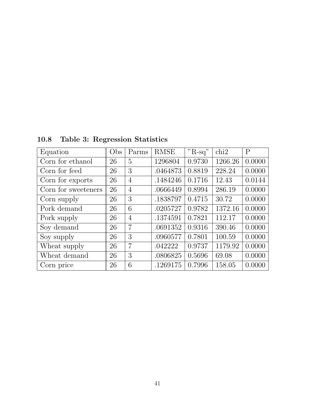| Equation            | Obs | Parms          | <b>RMSE</b> | $"R-sq"$ | chi2    | $\overline{P}$ |
|---------------------|-----|----------------|-------------|----------|---------|----------------|
| Corn for ethanol    | 26  | 5              | 1296804     | 0.9730   | 1266.26 | 0.0000         |
| Corn for feed       | 26  | 3              | .0464873    | 0.8819   | 228.24  | 0.0000         |
| Corn for exports    | 26  | $\overline{4}$ | .1484246    | 0.1716   | 12.43   | 0.0144         |
| Corn for sweeteners | 26  | $\overline{4}$ | .0666449    | 0.8994   | 286.19  | 0.0000         |
| Corn supply         | 26  | 3              | .1838797    | 0.4715   | 30.72   | 0.0000         |
| Pork demand         | 26  | 6              | .0205727    | 0.9782   | 1372.16 | 0.0000         |
| Pork supply         | 26  | $\overline{4}$ | .1374591    | 0.7821   | 112.17  | 0.0000         |
| Soy demand          | 26  | $\overline{7}$ | .0691352    | 0.9316   | 390.46  | 0.0000         |
| Soy supply          | 26  | 3              | .0960577    | 0.7801   | 100.59  | 0.0000         |
| Wheat supply        | 26  | $\overline{7}$ | .042222     | 0.9737   | 1179.92 | 0.0000         |
| Wheat demand        | 26  | 3              | .0806825    | 0.5696   | 69.08   | 0.0000         |
| Corn price          | 26  | 6              | .1269175    | 0.7996   | 158.05  | 0.0000         |

10.8 Table 3: Regression Statistics